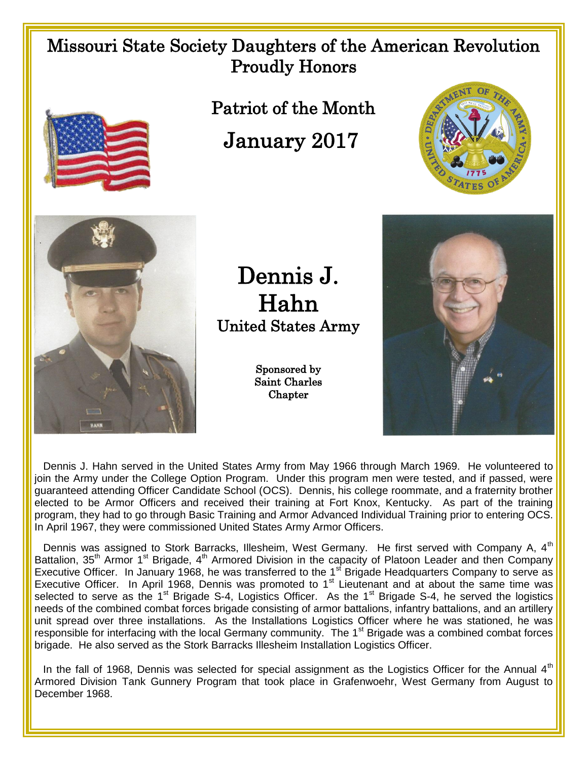## Missouri State Society Daughters of the American Revolution Proudly Honors



 Patriot of the Month January 2017





Dennis J. Hahn United States Army

> Sponsored by Saint Charles **Chapter**



 Dennis J. Hahn served in the United States Army from May 1966 through March 1969. He volunteered to join the Army under the College Option Program. Under this program men were tested, and if passed, were guaranteed attending Officer Candidate School (OCS). Dennis, his college roommate, and a fraternity brother elected to be Armor Officers and received their training at Fort Knox, Kentucky. As part of the training program, they had to go through Basic Training and Armor Advanced Individual Training prior to entering OCS. In April 1967, they were commissioned United States Army Armor Officers.

Dennis was assigned to Stork Barracks, Illesheim, West Germany. He first served with Company A, 4<sup>th</sup> Battalion, 35<sup>th</sup> Armor 1<sup>st</sup> Brigade, 4<sup>th</sup> Armored Division in the capacity of Platoon Leader and then Company Executive Officer. In January 1968, he was transferred to the 1<sup>st</sup> Brigade Headquarters Company to serve as Executive Officer. In April 1968, Dennis was promoted to  $1<sup>st</sup>$  Lieutenant and at about the same time was selected to serve as the 1<sup>st</sup> Brigade S-4, Logistics Officer. As the 1<sup>st</sup> Brigade S-4, he served the logistics needs of the combined combat forces brigade consisting of armor battalions, infantry battalions, and an artillery unit spread over three installations. As the Installations Logistics Officer where he was stationed, he was responsible for interfacing with the local Germany community. The  $1<sup>st</sup>$  Brigade was a combined combat forces brigade. He also served as the Stork Barracks Illesheim Installation Logistics Officer.

In the fall of 1968, Dennis was selected for special assignment as the Logistics Officer for the Annual 4<sup>th</sup> Armored Division Tank Gunnery Program that took place in Grafenwoehr, West Germany from August to December 1968.